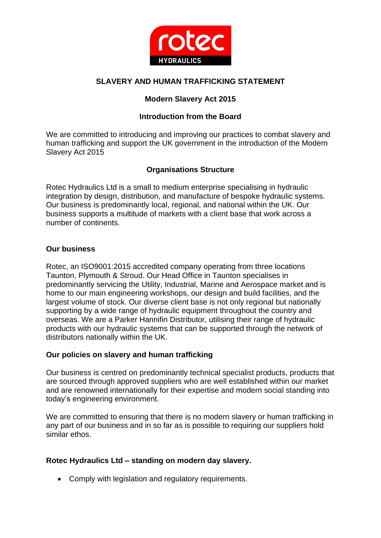

# **SLAVERY AND HUMAN TRAFFICKING STATEMENT**

## **Modern Slavery Act 2015**

## **Introduction from the Board**

We are committed to introducing and improving our practices to combat slavery and human trafficking and support the UK government in the introduction of the Modern Slavery Act 2015

## **Organisations Structure**

Rotec Hydraulics Ltd is a small to medium enterprise specialising in hydraulic integration by design, distribution, and manufacture of bespoke hydraulic systems. Our business is predominantly local, regional, and national within the UK. Our business supports a multitude of markets with a client base that work across a number of continents.

### **Our business**

Rotec, an ISO9001:2015 accredited company operating from three locations Taunton, Plymouth & Stroud. Our Head Office in Taunton specialises in predominantly servicing the Utility, Industrial, Marine and Aerospace market and is home to our main engineering workshops, our design and build facilities, and the largest volume of stock. Our diverse client base is not only regional but nationally supporting by a wide range of hydraulic equipment throughout the country and overseas. We are a Parker Hannifin Distributor, utilising their range of hydraulic products with our hydraulic systems that can be supported through the network of distributors nationally within the UK.

### **Our policies on slavery and human trafficking**

Our business is centred on predominantly technical specialist products, products that are sourced through approved suppliers who are well established within our market and are renowned internationally for their expertise and modern social standing into today's engineering environment.

We are committed to ensuring that there is no modern slavery or human trafficking in any part of our business and in so far as is possible to requiring our suppliers hold similar ethos.

### **Rotec Hydraulics Ltd – standing on modern day slavery.**

• Comply with legislation and regulatory requirements.